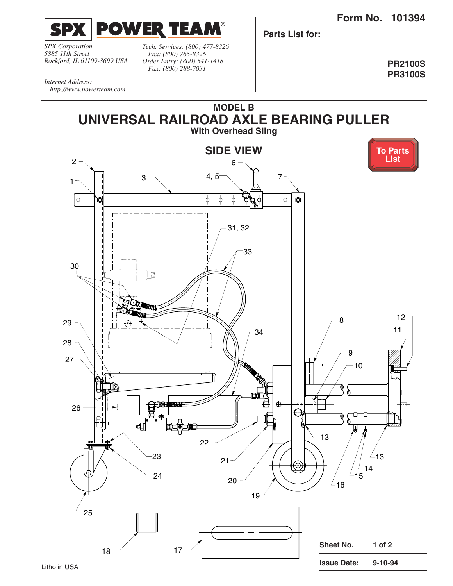**Form No. 101394**

<span id="page-0-0"></span>

*SPX Corporation 5885 11th Street Rockford, IL 61109-3699 USA*

*Tech. Services: (800) 477-8326 Fax: (800) 765-8326 Order Entry: (800) 541-1418 Fax: (800) 288-7031*

**Parts List for:**

**PR2100S PR3100S**

*Internet Address: http://www.powerteam.com*

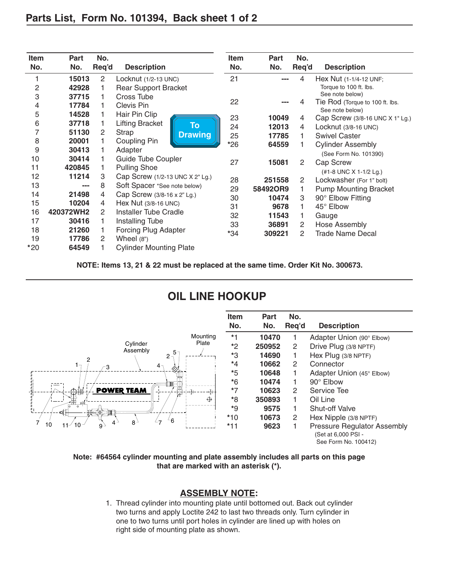<span id="page-1-0"></span>

| <b>Item</b><br>No. | Part<br>No. | No.<br>Req'd<br><b>Description</b> |                                     | <b>Item</b><br>No. | Part<br>No. | <b>Description</b> |                                                    |  |  |
|--------------------|-------------|------------------------------------|-------------------------------------|--------------------|-------------|--------------------|----------------------------------------------------|--|--|
| 1                  | 15013       | $\mathbf{2}^{\prime}$              | Locknut (1/2-13 UNC)                | 21                 |             | 4                  | Hex Nut (1-1/4-12 UNF;                             |  |  |
| $\overline{c}$     | 42928       |                                    | <b>Rear Support Bracket</b>         |                    |             |                    | Torque to 100 ft. lbs.                             |  |  |
| 3                  | 37715       |                                    | Cross Tube                          |                    |             |                    | See note below)                                    |  |  |
| 4                  | 17784       |                                    | Clevis Pin                          | 22                 |             | 4                  | Tie Rod (Torque to 100 ft. lbs.                    |  |  |
| 5                  | 14528       |                                    | Hair Pin Clip                       | 23                 | 10049       | 4                  | See note below)<br>Cap Screw (3/8-16 UNC X 1" Lg.) |  |  |
| 6                  | 37718       |                                    | <b>Lifting Bracket</b><br><b>To</b> | 24                 | 12013       | 4                  | Locknut (3/8-16 UNC)                               |  |  |
| 7                  | 51130       | 2                                  | Strap<br><b>Drawing</b>             | 25                 | 17785       |                    | <b>Swivel Caster</b>                               |  |  |
| 8                  | 20001       |                                    | Coupling Pin                        | $*26$              | 64559       |                    | <b>Cylinder Assembly</b>                           |  |  |
| 9                  | 30413       |                                    | Adapter                             |                    |             |                    | (See Form No. 101390)                              |  |  |
| 10                 | 30414       |                                    | Guide Tube Coupler                  | 27                 | 15081       | 2                  | Cap Screw                                          |  |  |
| 11                 | 420845      |                                    | <b>Pulling Shoe</b>                 |                    |             |                    | (#1-8 UNC X 1-1/2 Lg.)                             |  |  |
| 12                 | 11214       | 3                                  | Cap Screw (1/2-13 UNC X 2" Lg.)     | 28                 | 251558      | 2                  | Lockwasher (For 1" bolt)                           |  |  |
| 13                 | ---         | 8                                  | Soft Spacer *See note below)        | 29                 | 58492OR9    |                    | <b>Pump Mounting Bracket</b>                       |  |  |
| 14                 | 21498       | 4                                  | Cap Screw (3/8-16 x 2" Lg.)         |                    |             | 3                  |                                                    |  |  |
| 15                 | 10204       | 4                                  | Hex Nut (3/8-16 UNC)                | 30                 | 10474       |                    | 90° Elbow Fitting                                  |  |  |
| 16                 | 420372WH2   | 2                                  | <b>Installer Tube Cradle</b>        | 31                 | 9678        |                    | 45° Elbow                                          |  |  |
| 17                 | 30416       |                                    |                                     | 32                 | 11543       |                    | Gauge                                              |  |  |
|                    |             |                                    | Installing Tube                     | 33                 | 36891       | 2                  | Hose Assembly                                      |  |  |
| 18                 | 21260       |                                    | Forcing Plug Adapter                | *34                | 309221      | 2                  | <b>Trade Name Decal</b>                            |  |  |
| 19                 | 17786       | 2                                  | Wheel $(8")$                        |                    |             |                    |                                                    |  |  |
| $*20$              | 64549       |                                    | <b>Cylinder Mounting Plate</b>      |                    |             |                    |                                                    |  |  |

**NOTE: Items 13, 21 & 22 must be replaced at the same time. Order Kit No. 300673.**

## **OIL LINE HOOKUP**



**Note: #64564 cylinder mounting and plate assembly includes all parts on this page that are marked with an asterisk (\*).**

## **ASSEMBLY NOTE:**

1. Thread cylinder into mounting plate until bottomed out. Back out cylinder two turns and apply Loctite 242 to last two threads only. Turn cylinder in one to two turns until port holes in cylinder are lined up with holes on right side of mounting plate as shown.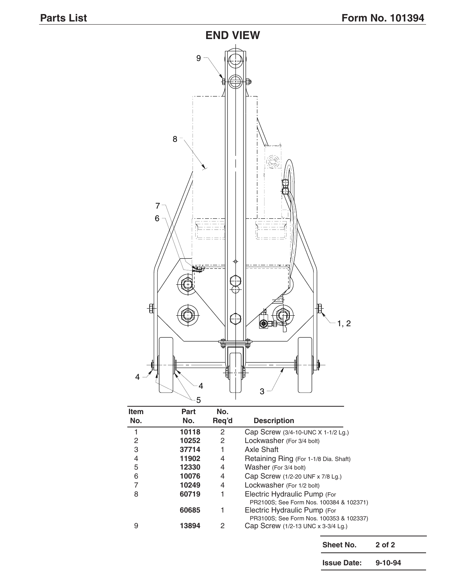

| Part  | No.   |                                                                               |
|-------|-------|-------------------------------------------------------------------------------|
| No.   | Req'd | <b>Description</b>                                                            |
| 10118 | 2     | Cap Screw (3/4-10-UNC X 1-1/2 Lg.)                                            |
| 10252 | 2     | Lockwasher (For 3/4 bolt)                                                     |
| 37714 |       | Axle Shaft                                                                    |
| 11902 | 4     | Retaining Ring (For 1-1/8 Dia. Shaft)                                         |
| 12330 | 4     | Washer (For 3/4 bolt)                                                         |
| 10076 | 4     | Cap Screw (1/2-20 UNF x 7/8 Lg.)                                              |
| 10249 | 4     | Lockwasher (For 1/2 bolt)                                                     |
| 60719 | 1     | Electric Hydraulic Pump (For                                                  |
|       |       | PR2100S; See Form Nos. 100384 & 102371)                                       |
|       |       | Electric Hydraulic Pump (For                                                  |
| 13894 | 2     | PR3100S; See Form Nos. 100353 & 102337)<br>Cap Screw (1/2-13 UNC x 3-3/4 Lg.) |
|       | 60685 |                                                                               |

Sheet No. 2 of 2 **Issue Date: 9-10-94**